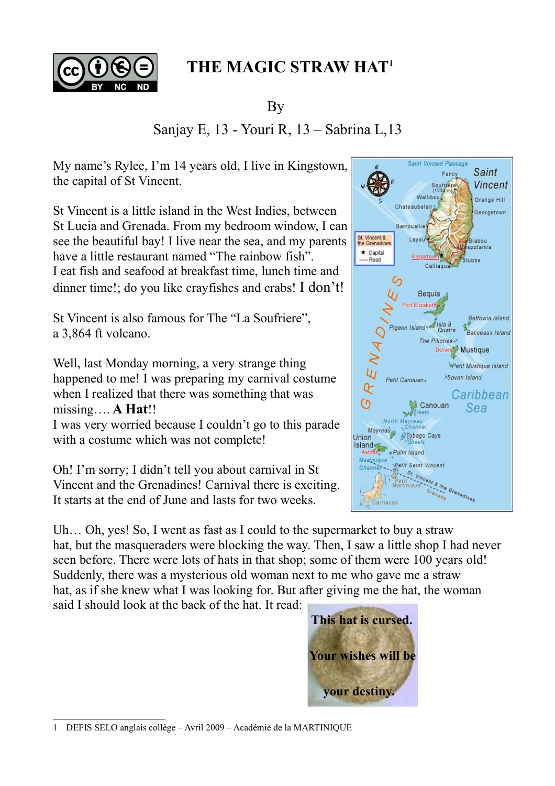

## **THE MAGIC STRAW HAT[1](#page-0-0)**

By

## Sanjay E, 13 - Youri R, 13 – Sabrina L,13

My name's Rylee, I'm 14 years old, I live in Kingstown, the capital of St Vincent.

St Vincent is a little island in the West Indies, between St Lucia and Grenada. From my bedroom window, I can see the beautiful bay! I live near the sea, and my parents have a little restaurant named "The rainbow fish". I eat fish and seafood at breakfast time, lunch time and dinner time!; do you like crayfishes and crabs! I don't!

St Vincent is also famous for The "La Soufriere", a 3,864 ft volcano.

Well, last Monday morning, a very strange thing happened to me! I was preparing my carnival costume when I realized that there was something that was missing…. **A Hat**!!

I was very worried because I couldn't go to this parade with a costume which was not complete!

Oh! I'm sorry; I didn't tell you about carnival in St Vincent and the Grenadines! Carnival there is exciting. It starts at the end of June and lasts for two weeks.

Uh... Oh, yes! So, I went as fast as I could to the supermarket to buy a straw hat, but the masqueraders were blocking the way. Then, I saw a little shop I had never seen before. There were lots of hats in that shop; some of them were 100 years old! Suddenly, there was a mysterious old woman next to me who gave me a straw hat, as if she knew what I was looking for. But after giving me the hat, the woman

said I should look at the back of the hat. It read:



<span id="page-0-0"></span>1 DEFIS SELO anglais collège – Avril 2009 – Académie de la MARTINIQUE

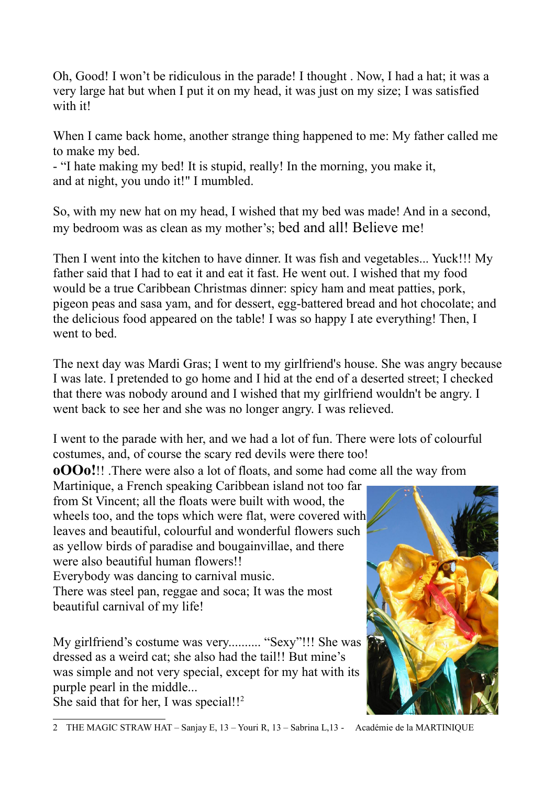Oh, Good! I won't be ridiculous in the parade! I thought . Now, I had a hat; it was a very large hat but when I put it on my head, it was just on my size; I was satisfied with it!

When I came back home, another strange thing happened to me: My father called me to make my bed.

- "I hate making my bed! It is stupid, really! In the morning, you make it, and at night, you undo it!" I mumbled.

So, with my new hat on my head, I wished that my bed was made! And in a second, my bedroom was as clean as my mother's; bed and all! Believe me!

Then I went into the kitchen to have dinner. It was fish and vegetables... Yuck!!! My father said that I had to eat it and eat it fast. He went out. I wished that my food would be a true Caribbean Christmas dinner: spicy ham and meat patties, pork, pigeon peas and sasa yam, and for dessert, egg-battered bread and hot chocolate; and the delicious food appeared on the table! I was so happy I ate everything! Then, I went to bed.

The next day was Mardi Gras; I went to my girlfriend's house. She was angry because I was late. I pretended to go home and I hid at the end of a deserted street; I checked that there was nobody around and I wished that my girlfriend wouldn't be angry. I went back to see her and she was no longer angry. I was relieved.

I went to the parade with her, and we had a lot of fun. There were lots of colourful costumes, and, of course the scary red devils were there too!

**oOOo!**!! .There were also a lot of floats, and some had come all the way from

Martinique, a French speaking Caribbean island not too far from St Vincent; all the floats were built with wood, the wheels too, and the tops which were flat, were covered with leaves and beautiful, colourful and wonderful flowers such as yellow birds of paradise and bougainvillae, and there were also beautiful human flowers!! Everybody was dancing to carnival music. There was steel pan, reggae and soca; It was the most

beautiful carnival of my life!

My girlfriend's costume was very.......... "Sexy"!!! She was dressed as a weird cat; she also had the tail!! But mine's was simple and not very special, except for my hat with its purple pearl in the middle...

<span id="page-1-0"></span>She said that for her, I was special!!<sup>[2](#page-1-0)</sup>



<sup>2</sup> THE MAGIC STRAW HAT – Sanjay E, 13 – Youri R, 13 – Sabrina L,13 - Académie de la MARTINIQUE